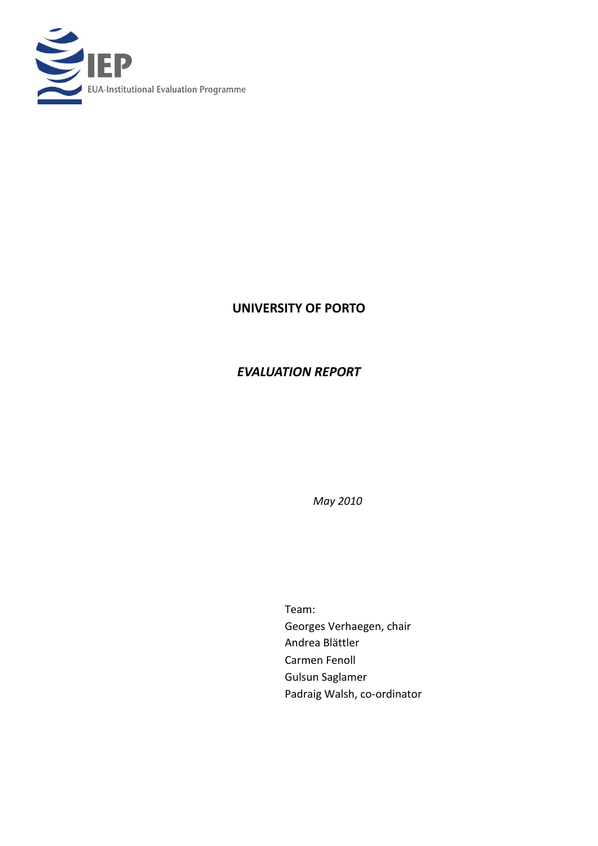

# **UNIVERSITY OF PORTO**

# *EVALUATION REPORT*

*May 2010*

Team: Georges Verhaegen, chair Andrea Blättler Carmen Fenoll Gulsun Saglamer Padraig Walsh, co-ordinator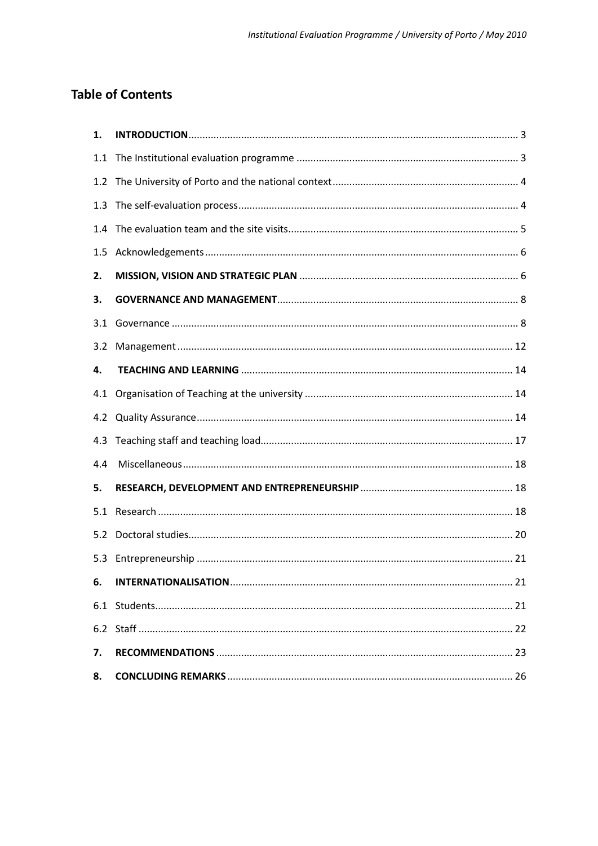# **Table of Contents**

| 1.  |  |
|-----|--|
| 1.1 |  |
| 1.2 |  |
| 1.3 |  |
| 1.4 |  |
| 1.5 |  |
| 2.  |  |
| 3.  |  |
| 3.1 |  |
| 3.2 |  |
| 4.  |  |
| 4.1 |  |
| 4.2 |  |
| 4.3 |  |
| 4.4 |  |
| 5.  |  |
| 5.1 |  |
| 5.2 |  |
| 5.3 |  |
| 6.  |  |
|     |  |
|     |  |
| 7.  |  |
| 8.  |  |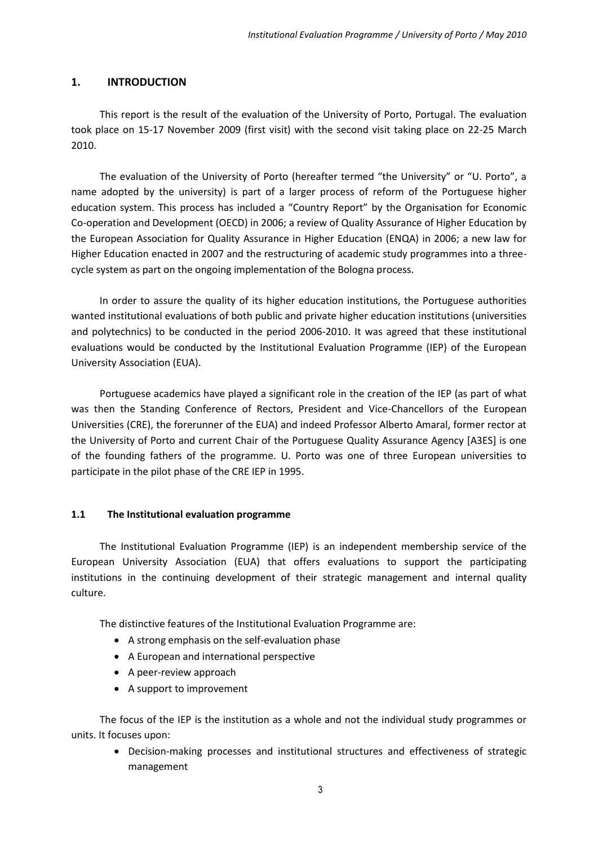# <span id="page-2-0"></span>**1. INTRODUCTION**

This report is the result of the evaluation of the University of Porto, Portugal. The evaluation took place on 15-17 November 2009 (first visit) with the second visit taking place on 22-25 March 2010.

The evaluation of the University of Porto (hereafter termed "the University" or "U. Porto", a name adopted by the university) is part of a larger process of reform of the Portuguese higher education system. This process has included a "Country Report" by the Organisation for Economic Co-operation and Development (OECD) in 2006; a review of Quality Assurance of Higher Education by the European Association for Quality Assurance in Higher Education (ENQA) in 2006; a new law for Higher Education enacted in 2007 and the restructuring of academic study programmes into a threecycle system as part on the ongoing implementation of the Bologna process.

In order to assure the quality of its higher education institutions, the Portuguese authorities wanted institutional evaluations of both public and private higher education institutions (universities and polytechnics) to be conducted in the period 2006-2010. It was agreed that these institutional evaluations would be conducted by the Institutional Evaluation Programme (IEP) of the European University Association (EUA).

Portuguese academics have played a significant role in the creation of the IEP (as part of what was then the Standing Conference of Rectors, President and Vice-Chancellors of the European Universities (CRE), the forerunner of the EUA) and indeed Professor Alberto Amaral, former rector at the University of Porto and current Chair of the Portuguese Quality Assurance Agency [A3ES] is one of the founding fathers of the programme. U. Porto was one of three European universities to participate in the pilot phase of the CRE IEP in 1995.

## <span id="page-2-1"></span>**1.1 The Institutional evaluation programme**

The Institutional Evaluation Programme (IEP) is an independent membership service of the European University Association (EUA) that offers evaluations to support the participating institutions in the continuing development of their strategic management and internal quality culture.

The distinctive features of the Institutional Evaluation Programme are:

- A strong emphasis on the self-evaluation phase
- A European and international perspective
- A peer-review approach
- A support to improvement

The focus of the IEP is the institution as a whole and not the individual study programmes or units. It focuses upon:

 Decision-making processes and institutional structures and effectiveness of strategic management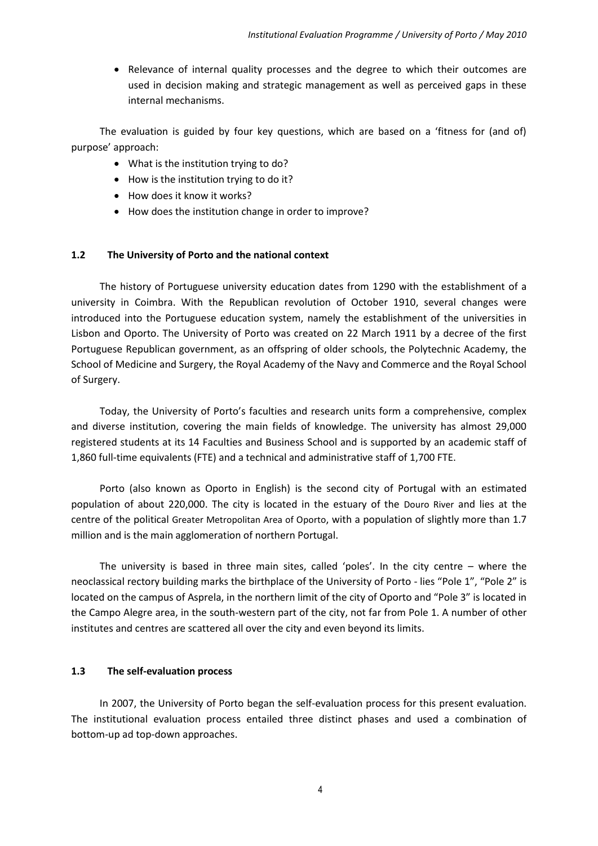• Relevance of internal quality processes and the degree to which their outcomes are used in decision making and strategic management as well as perceived gaps in these internal mechanisms.

The evaluation is guided by four key questions, which are based on a 'fitness for (and of) purpose' approach:

- What is the institution trying to do?
- How is the institution trying to do it?
- How does it know it works?
- How does the institution change in order to improve?

## <span id="page-3-0"></span>**1.2 The University of Porto and the national context**

The history of Portuguese university education dates from 1290 with the establishment of a university in Coimbra. With the Republican revolution of October 1910, several changes were introduced into the Portuguese education system, namely the establishment of the universities in Lisbon and Oporto. The University of Porto was created on 22 March 1911 by a decree of the first Portuguese Republican government, as an offspring of older schools, the Polytechnic Academy, the School of Medicine and Surgery, the Royal Academy of the Navy and Commerce and the Royal School of Surgery.

Today, the University of Porto's faculties and research units form a comprehensive, complex and diverse institution, covering the main fields of knowledge. The university has almost 29,000 registered students at its 14 Faculties and Business School and is supported by an academic staff of 1,860 full-time equivalents (FTE) and a technical and administrative staff of 1,700 FTE.

Porto (also known as Oporto in English) is the second city of Portugal with an estimated population of about 220,000. The city is located in the estuary of the [Douro River](http://en.wikipedia.org/wiki/Douro) and lies at the centre of the political [Greater Metropolitan Area of Oporto](http://en.wikipedia.org/wiki/Greater_Metropolitan_Area_of_Porto), with a population of slightly more than 1.7 million and is the main agglomeration of northern Portugal.

The university is based in three main sites, called 'poles'. In the city centre – where the neoclassical rectory building marks the birthplace of the University of Porto - lies "Pole 1", "Pole 2" is located on the campus of Asprela, in the northern limit of the city of Oporto and "Pole 3" is located in the Campo Alegre area, in the south-western part of the city, not far from Pole 1. A number of other institutes and centres are scattered all over the city and even beyond its limits.

## <span id="page-3-1"></span>**1.3 The self-evaluation process**

In 2007, the University of Porto began the self-evaluation process for this present evaluation. The institutional evaluation process entailed three distinct phases and used a combination of bottom-up ad top-down approaches.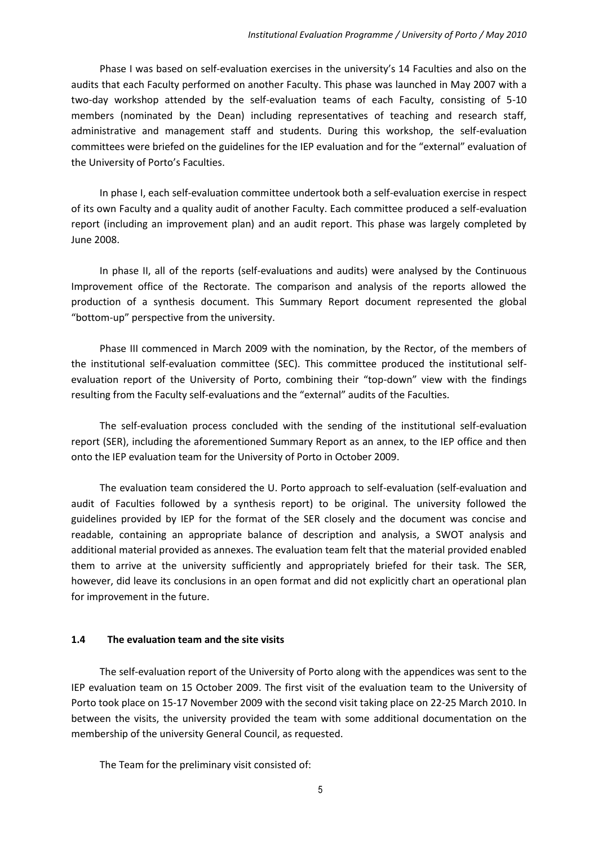Phase I was based on self-evaluation exercises in the university's 14 Faculties and also on the audits that each Faculty performed on another Faculty. This phase was launched in May 2007 with a two-day workshop attended by the self-evaluation teams of each Faculty, consisting of 5-10 members (nominated by the Dean) including representatives of teaching and research staff, administrative and management staff and students. During this workshop, the self-evaluation committees were briefed on the guidelines for the IEP evaluation and for the "external" evaluation of the University of Porto's Faculties.

In phase I, each self-evaluation committee undertook both a self-evaluation exercise in respect of its own Faculty and a quality audit of another Faculty. Each committee produced a self-evaluation report (including an improvement plan) and an audit report. This phase was largely completed by June 2008.

In phase II, all of the reports (self-evaluations and audits) were analysed by the Continuous Improvement office of the Rectorate. The comparison and analysis of the reports allowed the production of a synthesis document. This Summary Report document represented the global "bottom-up" perspective from the university.

Phase III commenced in March 2009 with the nomination, by the Rector, of the members of the institutional self-evaluation committee (SEC). This committee produced the institutional selfevaluation report of the University of Porto, combining their "top-down" view with the findings resulting from the Faculty self-evaluations and the "external" audits of the Faculties.

The self-evaluation process concluded with the sending of the institutional self-evaluation report (SER), including the aforementioned Summary Report as an annex, to the IEP office and then onto the IEP evaluation team for the University of Porto in October 2009.

The evaluation team considered the U. Porto approach to self-evaluation (self-evaluation and audit of Faculties followed by a synthesis report) to be original. The university followed the guidelines provided by IEP for the format of the SER closely and the document was concise and readable, containing an appropriate balance of description and analysis, a SWOT analysis and additional material provided as annexes. The evaluation team felt that the material provided enabled them to arrive at the university sufficiently and appropriately briefed for their task. The SER, however, did leave its conclusions in an open format and did not explicitly chart an operational plan for improvement in the future.

#### <span id="page-4-0"></span>**1.4 The evaluation team and the site visits**

The self-evaluation report of the University of Porto along with the appendices was sent to the IEP evaluation team on 15 October 2009. The first visit of the evaluation team to the University of Porto took place on 15-17 November 2009 with the second visit taking place on 22-25 March 2010. In between the visits, the university provided the team with some additional documentation on the membership of the university General Council, as requested.

The Team for the preliminary visit consisted of: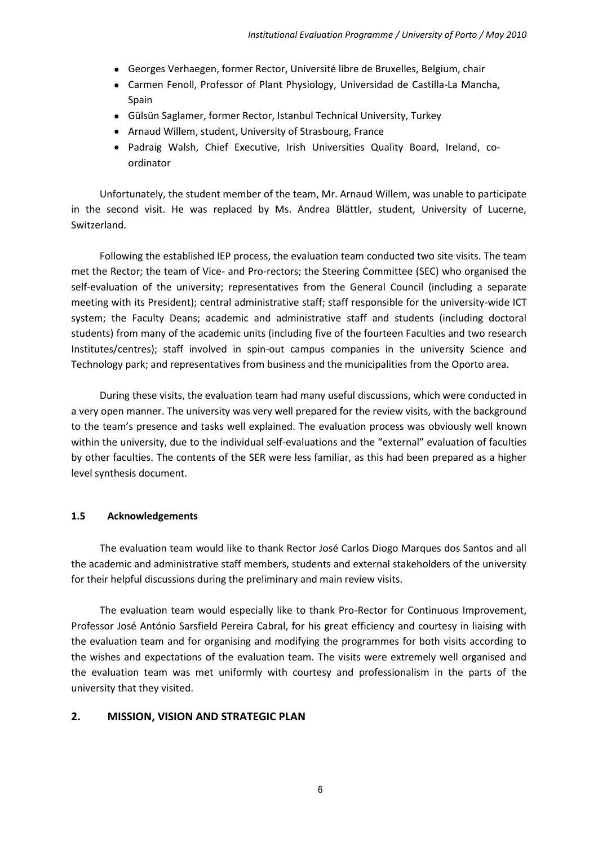- Georges Verhaegen, former Rector, Université libre de Bruxelles, Belgium, chair
- Carmen Fenoll, Professor of Plant Physiology, Universidad de Castilla-La Mancha, Spain
- Gülsün Saglamer, former Rector, Istanbul Technical University, Turkey
- Arnaud Willem, student, University of Strasbourg, France
- Padraig Walsh, Chief Executive, Irish Universities Quality Board, Ireland, coordinator

Unfortunately, the student member of the team, Mr. Arnaud Willem, was unable to participate in the second visit. He was replaced by Ms. Andrea Blättler, student, University of Lucerne, Switzerland.

Following the established IEP process, the evaluation team conducted two site visits. The team met the Rector; the team of Vice- and Pro-rectors; the Steering Committee (SEC) who organised the self-evaluation of the university; representatives from the General Council (including a separate meeting with its President); central administrative staff; staff responsible for the university-wide ICT system; the Faculty Deans; academic and administrative staff and students (including doctoral students) from many of the academic units (including five of the fourteen Faculties and two research Institutes/centres); staff involved in spin-out campus companies in the university Science and Technology park; and representatives from business and the municipalities from the Oporto area.

During these visits, the evaluation team had many useful discussions, which were conducted in a very open manner. The university was very well prepared for the review visits, with the background to the team's presence and tasks well explained. The evaluation process was obviously well known within the university, due to the individual self-evaluations and the "external" evaluation of faculties by other faculties. The contents of the SER were less familiar, as this had been prepared as a higher level synthesis document.

## <span id="page-5-0"></span>**1.5 Acknowledgements**

The evaluation team would like to thank Rector José Carlos Diogo Marques dos Santos and all the academic and administrative staff members, students and external stakeholders of the university for their helpful discussions during the preliminary and main review visits.

The evaluation team would especially like to thank Pro-Rector for Continuous Improvement, Professor José António Sarsfield Pereira Cabral, for his great efficiency and courtesy in liaising with the evaluation team and for organising and modifying the programmes for both visits according to the wishes and expectations of the evaluation team. The visits were extremely well organised and the evaluation team was met uniformly with courtesy and professionalism in the parts of the university that they visited.

## <span id="page-5-1"></span>**2. MISSION, VISION AND STRATEGIC PLAN**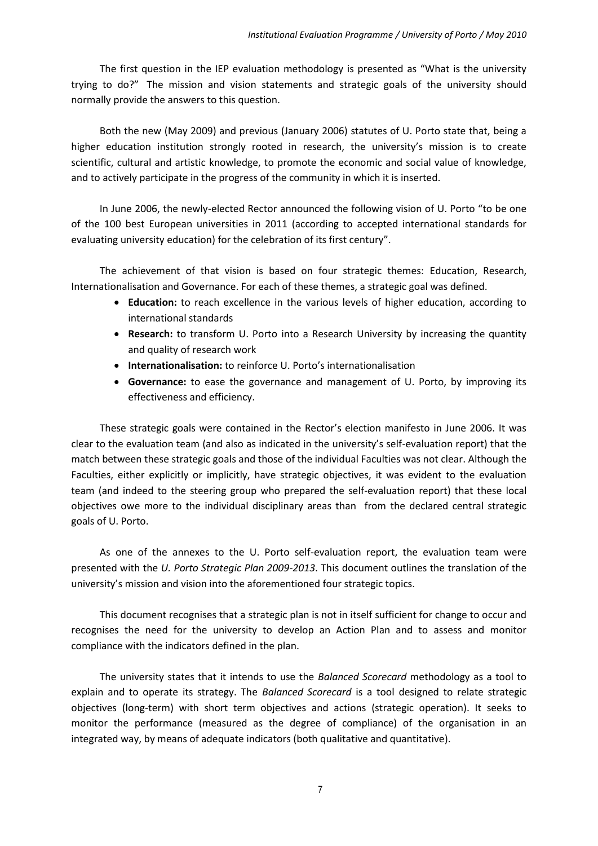The first question in the IEP evaluation methodology is presented as "What is the university trying to do?" The mission and vision statements and strategic goals of the university should normally provide the answers to this question.

Both the new (May 2009) and previous (January 2006) statutes of U. Porto state that, being a higher education institution strongly rooted in research, the university's mission is to create scientific, cultural and artistic knowledge, to promote the economic and social value of knowledge, and to actively participate in the progress of the community in which it is inserted.

In June 2006, the newly-elected Rector announced the following vision of U. Porto "to be one of the 100 best European universities in 2011 (according to accepted international standards for evaluating university education) for the celebration of its first century".

The achievement of that vision is based on four strategic themes: Education, Research, Internationalisation and Governance. For each of these themes, a strategic goal was defined.

- **Education:** to reach excellence in the various levels of higher education, according to international standards
- **Research:** to transform U. Porto into a Research University by increasing the quantity and quality of research work
- **Internationalisation:** to reinforce U. Porto's internationalisation
- **Governance:** to ease the governance and management of U. Porto, by improving its effectiveness and efficiency.

These strategic goals were contained in the Rector's election manifesto in June 2006. It was clear to the evaluation team (and also as indicated in the university's self-evaluation report) that the match between these strategic goals and those of the individual Faculties was not clear. Although the Faculties, either explicitly or implicitly, have strategic objectives, it was evident to the evaluation team (and indeed to the steering group who prepared the self-evaluation report) that these local objectives owe more to the individual disciplinary areas than from the declared central strategic goals of U. Porto.

As one of the annexes to the U. Porto self-evaluation report, the evaluation team were presented with the *U. Porto Strategic Plan 2009-2013*. This document outlines the translation of the university's mission and vision into the aforementioned four strategic topics.

This document recognises that a strategic plan is not in itself sufficient for change to occur and recognises the need for the university to develop an Action Plan and to assess and monitor compliance with the indicators defined in the plan.

The university states that it intends to use the *Balanced Scorecard* methodology as a tool to explain and to operate its strategy. The *Balanced Scorecard* is a tool designed to relate strategic objectives (long-term) with short term objectives and actions (strategic operation). It seeks to monitor the performance (measured as the degree of compliance) of the organisation in an integrated way, by means of adequate indicators (both qualitative and quantitative).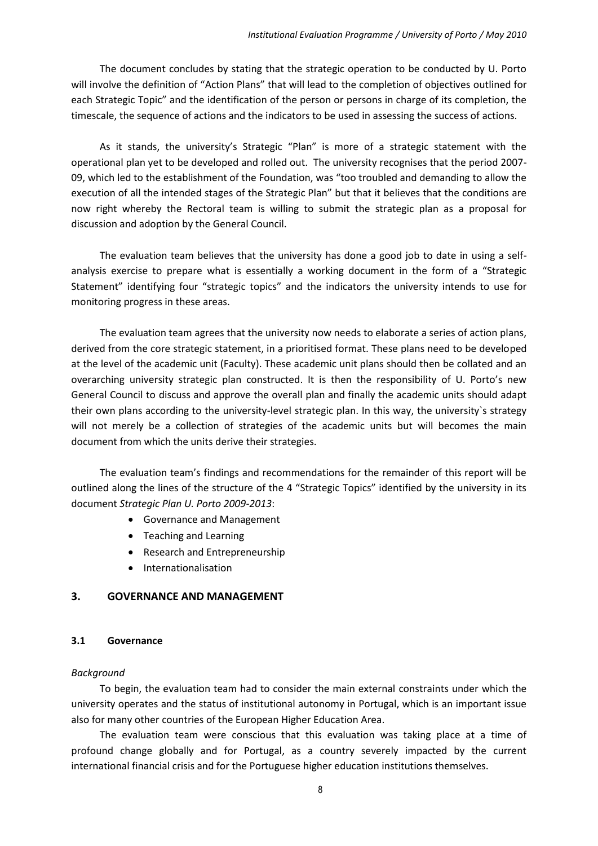The document concludes by stating that the strategic operation to be conducted by U. Porto will involve the definition of "Action Plans" that will lead to the completion of objectives outlined for each Strategic Topic" and the identification of the person or persons in charge of its completion, the timescale, the sequence of actions and the indicators to be used in assessing the success of actions.

As it stands, the university's Strategic "Plan" is more of a strategic statement with the operational plan yet to be developed and rolled out. The university recognises that the period 2007- 09, which led to the establishment of the Foundation, was "too troubled and demanding to allow the execution of all the intended stages of the Strategic Plan" but that it believes that the conditions are now right whereby the Rectoral team is willing to submit the strategic plan as a proposal for discussion and adoption by the General Council.

The evaluation team believes that the university has done a good job to date in using a selfanalysis exercise to prepare what is essentially a working document in the form of a "Strategic Statement" identifying four "strategic topics" and the indicators the university intends to use for monitoring progress in these areas.

The evaluation team agrees that the university now needs to elaborate a series of action plans, derived from the core strategic statement, in a prioritised format. These plans need to be developed at the level of the academic unit (Faculty). These academic unit plans should then be collated and an overarching university strategic plan constructed. It is then the responsibility of U. Porto's new General Council to discuss and approve the overall plan and finally the academic units should adapt their own plans according to the university-level strategic plan. In this way, the university`s strategy will not merely be a collection of strategies of the academic units but will becomes the main document from which the units derive their strategies.

The evaluation team's findings and recommendations for the remainder of this report will be outlined along the lines of the structure of the 4 "Strategic Topics" identified by the university in its document *Strategic Plan U. Porto 2009-2013*:

- Governance and Management
- Teaching and Learning
- Research and Entrepreneurship
- Internationalisation

## <span id="page-7-0"></span>**3. GOVERNANCE AND MANAGEMENT**

## <span id="page-7-1"></span>**3.1 Governance**

## *Background*

To begin, the evaluation team had to consider the main external constraints under which the university operates and the status of institutional autonomy in Portugal, which is an important issue also for many other countries of the European Higher Education Area.

The evaluation team were conscious that this evaluation was taking place at a time of profound change globally and for Portugal, as a country severely impacted by the current international financial crisis and for the Portuguese higher education institutions themselves.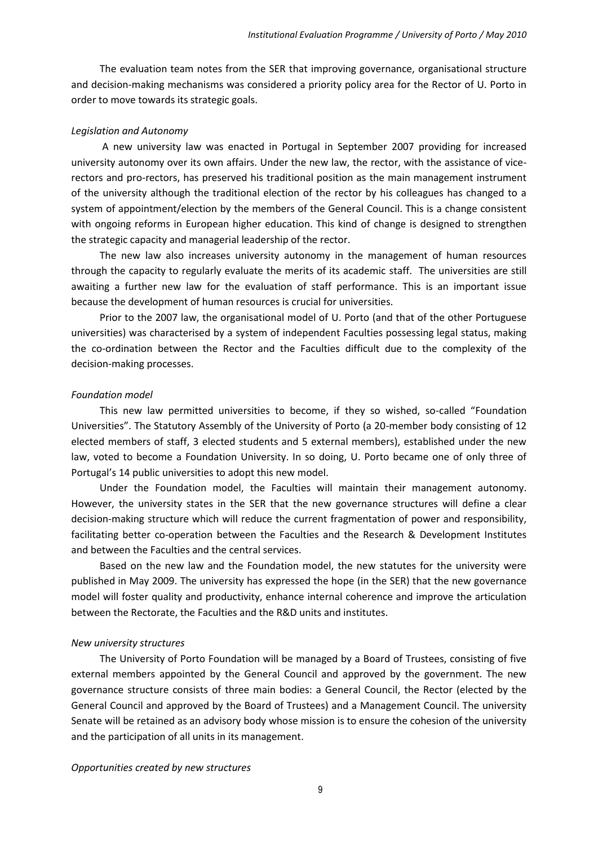The evaluation team notes from the SER that improving governance, organisational structure and decision-making mechanisms was considered a priority policy area for the Rector of U. Porto in order to move towards its strategic goals.

#### *Legislation and Autonomy*

A new university law was enacted in Portugal in September 2007 providing for increased university autonomy over its own affairs. Under the new law, the rector, with the assistance of vicerectors and pro-rectors, has preserved his traditional position as the main management instrument of the university although the traditional election of the rector by his colleagues has changed to a system of appointment/election by the members of the General Council. This is a change consistent with ongoing reforms in European higher education. This kind of change is designed to strengthen the strategic capacity and managerial leadership of the rector.

The new law also increases university autonomy in the management of human resources through the capacity to regularly evaluate the merits of its academic staff. The universities are still awaiting a further new law for the evaluation of staff performance. This is an important issue because the development of human resources is crucial for universities.

Prior to the 2007 law, the organisational model of U. Porto (and that of the other Portuguese universities) was characterised by a system of independent Faculties possessing legal status, making the co-ordination between the Rector and the Faculties difficult due to the complexity of the decision-making processes.

#### *Foundation model*

This new law permitted universities to become, if they so wished, so-called "Foundation Universities". The Statutory Assembly of the University of Porto (a 20-member body consisting of 12 elected members of staff, 3 elected students and 5 external members), established under the new law, voted to become a Foundation University. In so doing, U. Porto became one of only three of Portugal's 14 public universities to adopt this new model.

Under the Foundation model, the Faculties will maintain their management autonomy. However, the university states in the SER that the new governance structures will define a clear decision-making structure which will reduce the current fragmentation of power and responsibility, facilitating better co-operation between the Faculties and the Research & Development Institutes and between the Faculties and the central services.

Based on the new law and the Foundation model, the new statutes for the university were published in May 2009. The university has expressed the hope (in the SER) that the new governance model will foster quality and productivity, enhance internal coherence and improve the articulation between the Rectorate, the Faculties and the R&D units and institutes.

#### *New university structures*

The University of Porto Foundation will be managed by a Board of Trustees, consisting of five external members appointed by the General Council and approved by the government. The new governance structure consists of three main bodies: a General Council, the Rector (elected by the General Council and approved by the Board of Trustees) and a Management Council. The university Senate will be retained as an advisory body whose mission is to ensure the cohesion of the university and the participation of all units in its management.

#### *Opportunities created by new structures*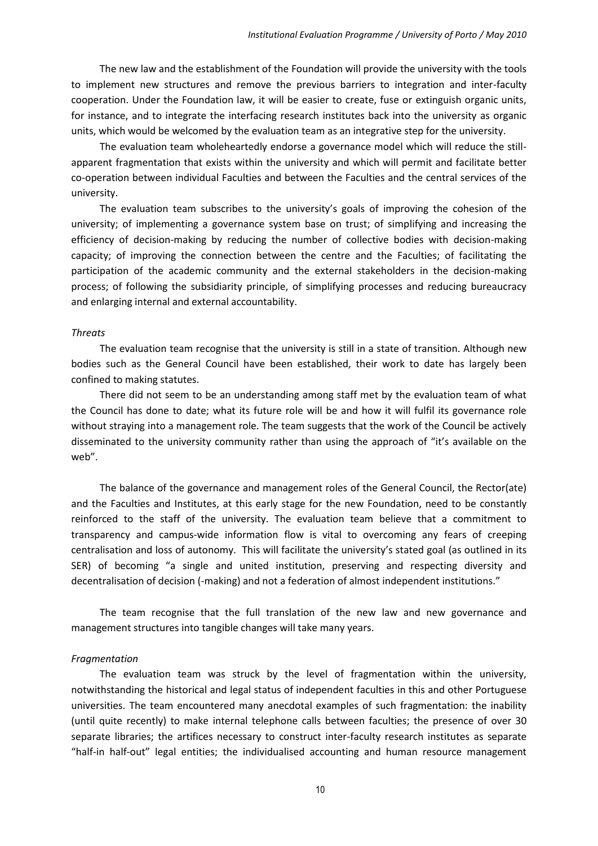The new law and the establishment of the Foundation will provide the university with the tools to implement new structures and remove the previous barriers to integration and inter-faculty cooperation. Under the Foundation law, it will be easier to create, fuse or extinguish organic units, for instance, and to integrate the interfacing research institutes back into the university as organic units, which would be welcomed by the evaluation team as an integrative step for the university.

The evaluation team wholeheartedly endorse a governance model which will reduce the stillapparent fragmentation that exists within the university and which will permit and facilitate better co-operation between individual Faculties and between the Faculties and the central services of the university.

The evaluation team subscribes to the university's goals of improving the cohesion of the university; of implementing a governance system base on trust; of simplifying and increasing the efficiency of decision-making by reducing the number of collective bodies with decision-making capacity; of improving the connection between the centre and the Faculties; of facilitating the participation of the academic community and the external stakeholders in the decision-making process; of following the subsidiarity principle, of simplifying processes and reducing bureaucracy and enlarging internal and external accountability.

#### *Threats*

The evaluation team recognise that the university is still in a state of transition. Although new bodies such as the General Council have been established, their work to date has largely been confined to making statutes.

There did not seem to be an understanding among staff met by the evaluation team of what the Council has done to date; what its future role will be and how it will fulfil its governance role without straying into a management role. The team suggests that the work of the Council be actively disseminated to the university community rather than using the approach of "it's available on the web".

The balance of the governance and management roles of the General Council, the Rector(ate) and the Faculties and Institutes, at this early stage for the new Foundation, need to be constantly reinforced to the staff of the university. The evaluation team believe that a commitment to transparency and campus-wide information flow is vital to overcoming any fears of creeping centralisation and loss of autonomy. This will facilitate the university's stated goal (as outlined in its SER) of becoming "a single and united institution, preserving and respecting diversity and decentralisation of decision (-making) and not a federation of almost independent institutions."

The team recognise that the full translation of the new law and new governance and management structures into tangible changes will take many years.

#### *Fragmentation*

The evaluation team was struck by the level of fragmentation within the university, notwithstanding the historical and legal status of independent faculties in this and other Portuguese universities. The team encountered many anecdotal examples of such fragmentation: the inability (until quite recently) to make internal telephone calls between faculties; the presence of over 30 separate libraries; the artifices necessary to construct inter-faculty research institutes as separate "half-in half-out" legal entities; the individualised accounting and human resource management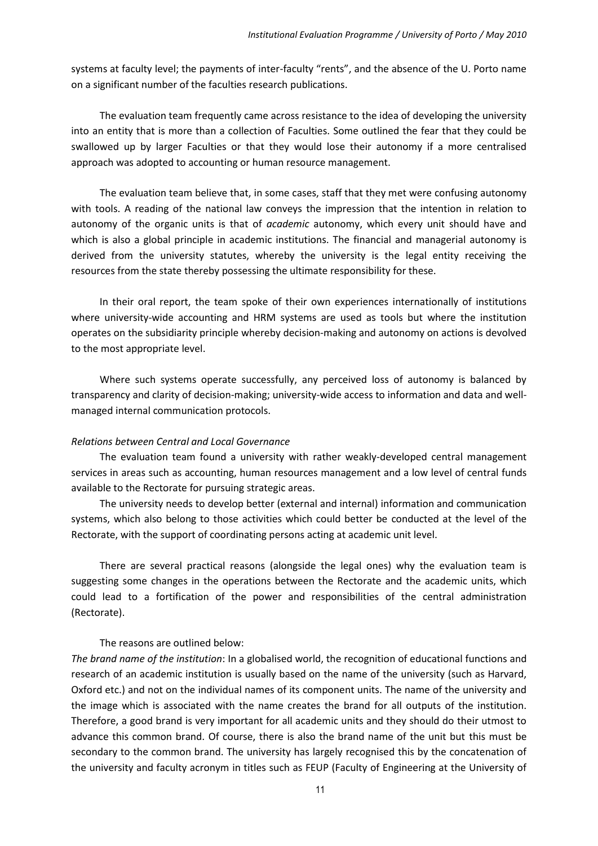systems at faculty level; the payments of inter-faculty "rents", and the absence of the U. Porto name on a significant number of the faculties research publications.

The evaluation team frequently came across resistance to the idea of developing the university into an entity that is more than a collection of Faculties. Some outlined the fear that they could be swallowed up by larger Faculties or that they would lose their autonomy if a more centralised approach was adopted to accounting or human resource management.

The evaluation team believe that, in some cases, staff that they met were confusing autonomy with tools. A reading of the national law conveys the impression that the intention in relation to autonomy of the organic units is that of *academic* autonomy, which every unit should have and which is also a global principle in academic institutions. The financial and managerial autonomy is derived from the university statutes, whereby the university is the legal entity receiving the resources from the state thereby possessing the ultimate responsibility for these.

In their oral report, the team spoke of their own experiences internationally of institutions where university-wide accounting and HRM systems are used as tools but where the institution operates on the subsidiarity principle whereby decision-making and autonomy on actions is devolved to the most appropriate level.

Where such systems operate successfully, any perceived loss of autonomy is balanced by transparency and clarity of decision-making; university-wide access to information and data and wellmanaged internal communication protocols.

#### *Relations between Central and Local Governance*

The evaluation team found a university with rather weakly-developed central management services in areas such as accounting, human resources management and a low level of central funds available to the Rectorate for pursuing strategic areas.

The university needs to develop better (external and internal) information and communication systems, which also belong to those activities which could better be conducted at the level of the Rectorate, with the support of coordinating persons acting at academic unit level.

There are several practical reasons (alongside the legal ones) why the evaluation team is suggesting some changes in the operations between the Rectorate and the academic units, which could lead to a fortification of the power and responsibilities of the central administration (Rectorate).

## The reasons are outlined below:

*The brand name of the institution*: In a globalised world, the recognition of educational functions and research of an academic institution is usually based on the name of the university (such as Harvard, Oxford etc.) and not on the individual names of its component units. The name of the university and the image which is associated with the name creates the brand for all outputs of the institution. Therefore, a good brand is very important for all academic units and they should do their utmost to advance this common brand. Of course, there is also the brand name of the unit but this must be secondary to the common brand. The university has largely recognised this by the concatenation of the university and faculty acronym in titles such as FEUP (Faculty of Engineering at the University of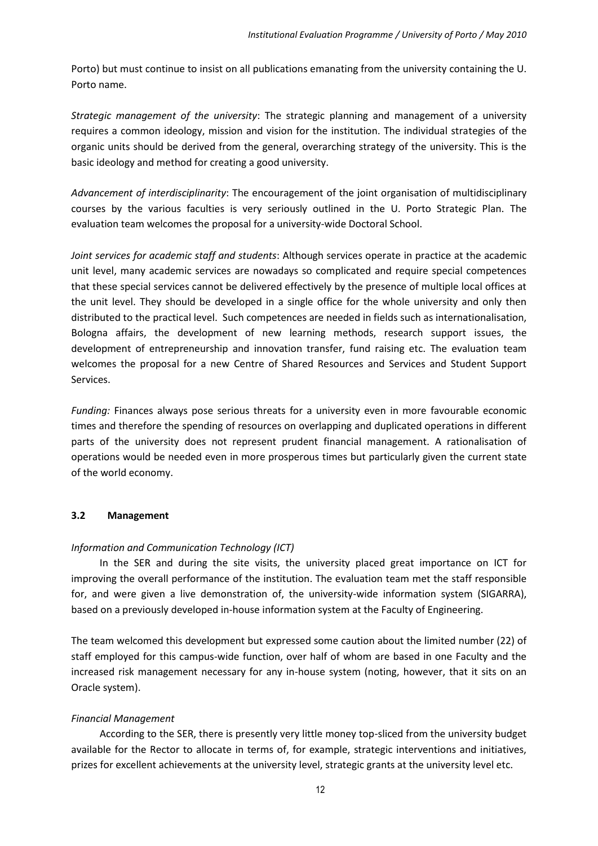Porto) but must continue to insist on all publications emanating from the university containing the U. Porto name.

*Strategic management of the university*: The strategic planning and management of a university requires a common ideology, mission and vision for the institution. The individual strategies of the organic units should be derived from the general, overarching strategy of the university. This is the basic ideology and method for creating a good university.

*Advancement of interdisciplinarity*: The encouragement of the joint organisation of multidisciplinary courses by the various faculties is very seriously outlined in the U. Porto Strategic Plan. The evaluation team welcomes the proposal for a university-wide Doctoral School.

*Joint services for academic staff and students*: Although services operate in practice at the academic unit level, many academic services are nowadays so complicated and require special competences that these special services cannot be delivered effectively by the presence of multiple local offices at the unit level. They should be developed in a single office for the whole university and only then distributed to the practical level. Such competences are needed in fields such as internationalisation, Bologna affairs, the development of new learning methods, research support issues, the development of entrepreneurship and innovation transfer, fund raising etc. The evaluation team welcomes the proposal for a new Centre of Shared Resources and Services and Student Support Services.

*Funding:* Finances always pose serious threats for a university even in more favourable economic times and therefore the spending of resources on overlapping and duplicated operations in different parts of the university does not represent prudent financial management. A rationalisation of operations would be needed even in more prosperous times but particularly given the current state of the world economy.

## <span id="page-11-0"></span>**3.2 Management**

# *Information and Communication Technology (ICT)*

In the SER and during the site visits, the university placed great importance on ICT for improving the overall performance of the institution. The evaluation team met the staff responsible for, and were given a live demonstration of, the university-wide information system (SIGARRA), based on a previously developed in-house information system at the Faculty of Engineering.

The team welcomed this development but expressed some caution about the limited number (22) of staff employed for this campus-wide function, over half of whom are based in one Faculty and the increased risk management necessary for any in-house system (noting, however, that it sits on an Oracle system).

# *Financial Management*

According to the SER, there is presently very little money top-sliced from the university budget available for the Rector to allocate in terms of, for example, strategic interventions and initiatives, prizes for excellent achievements at the university level, strategic grants at the university level etc.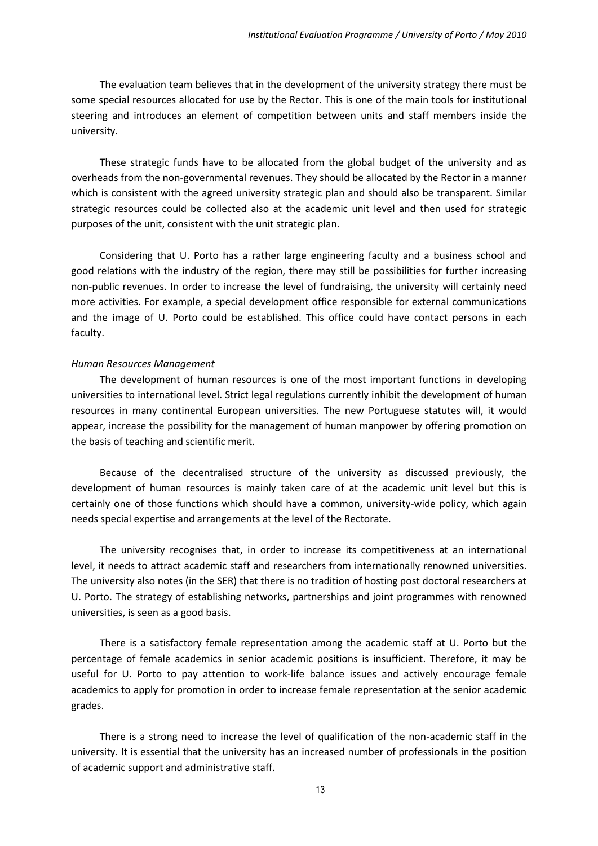The evaluation team believes that in the development of the university strategy there must be some special resources allocated for use by the Rector. This is one of the main tools for institutional steering and introduces an element of competition between units and staff members inside the university.

These strategic funds have to be allocated from the global budget of the university and as overheads from the non-governmental revenues. They should be allocated by the Rector in a manner which is consistent with the agreed university strategic plan and should also be transparent. Similar strategic resources could be collected also at the academic unit level and then used for strategic purposes of the unit, consistent with the unit strategic plan.

Considering that U. Porto has a rather large engineering faculty and a business school and good relations with the industry of the region, there may still be possibilities for further increasing non-public revenues. In order to increase the level of fundraising, the university will certainly need more activities. For example, a special development office responsible for external communications and the image of U. Porto could be established. This office could have contact persons in each faculty.

#### *Human Resources Management*

The development of human resources is one of the most important functions in developing universities to international level. Strict legal regulations currently inhibit the development of human resources in many continental European universities. The new Portuguese statutes will, it would appear, increase the possibility for the management of human manpower by offering promotion on the basis of teaching and scientific merit.

Because of the decentralised structure of the university as discussed previously, the development of human resources is mainly taken care of at the academic unit level but this is certainly one of those functions which should have a common, university-wide policy, which again needs special expertise and arrangements at the level of the Rectorate.

The university recognises that, in order to increase its competitiveness at an international level, it needs to attract academic staff and researchers from internationally renowned universities. The university also notes (in the SER) that there is no tradition of hosting post doctoral researchers at U. Porto. The strategy of establishing networks, partnerships and joint programmes with renowned universities, is seen as a good basis.

There is a satisfactory female representation among the academic staff at U. Porto but the percentage of female academics in senior academic positions is insufficient. Therefore, it may be useful for U. Porto to pay attention to work-life balance issues and actively encourage female academics to apply for promotion in order to increase female representation at the senior academic grades.

There is a strong need to increase the level of qualification of the non-academic staff in the university. It is essential that the university has an increased number of professionals in the position of academic support and administrative staff.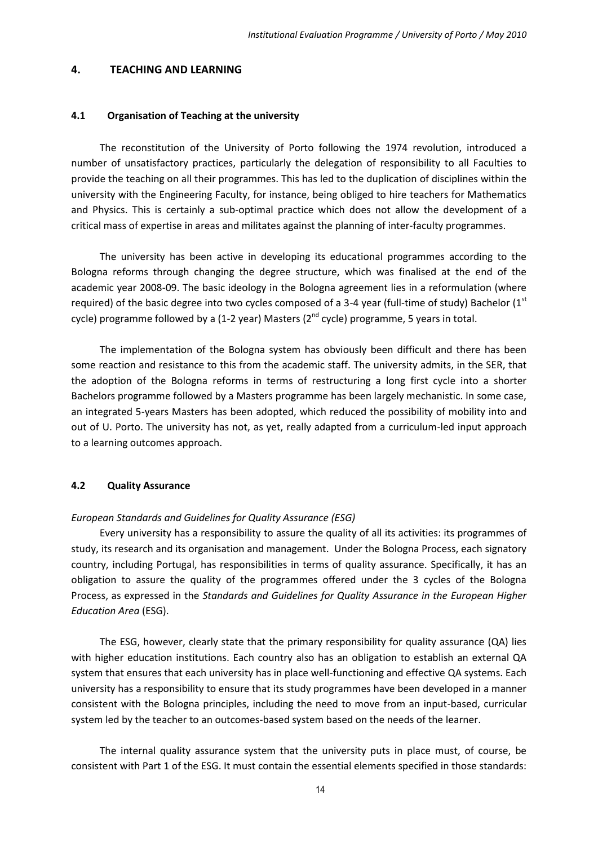#### <span id="page-13-0"></span>**4. TEACHING AND LEARNING**

#### <span id="page-13-1"></span>**4.1 Organisation of Teaching at the university**

The reconstitution of the University of Porto following the 1974 revolution, introduced a number of unsatisfactory practices, particularly the delegation of responsibility to all Faculties to provide the teaching on all their programmes. This has led to the duplication of disciplines within the university with the Engineering Faculty, for instance, being obliged to hire teachers for Mathematics and Physics. This is certainly a sub-optimal practice which does not allow the development of a critical mass of expertise in areas and militates against the planning of inter-faculty programmes.

The university has been active in developing its educational programmes according to the Bologna reforms through changing the degree structure, which was finalised at the end of the academic year 2008-09. The basic ideology in the Bologna agreement lies in a reformulation (where required) of the basic degree into two cycles composed of a 3-4 year (full-time of study) Bachelor ( $1<sup>st</sup>$ cycle) programme followed by a (1-2 year) Masters ( $2<sup>nd</sup>$  cycle) programme, 5 years in total.

The implementation of the Bologna system has obviously been difficult and there has been some reaction and resistance to this from the academic staff. The university admits, in the SER, that the adoption of the Bologna reforms in terms of restructuring a long first cycle into a shorter Bachelors programme followed by a Masters programme has been largely mechanistic. In some case, an integrated 5-years Masters has been adopted, which reduced the possibility of mobility into and out of U. Porto. The university has not, as yet, really adapted from a curriculum-led input approach to a learning outcomes approach.

#### <span id="page-13-2"></span>**4.2 Quality Assurance**

#### *European Standards and Guidelines for Quality Assurance (ESG)*

Every university has a responsibility to assure the quality of all its activities: its programmes of study, its research and its organisation and management. Under the Bologna Process, each signatory country, including Portugal, has responsibilities in terms of quality assurance. Specifically, it has an obligation to assure the quality of the programmes offered under the 3 cycles of the Bologna Process, as expressed in the *Standards and Guidelines for Quality Assurance in the European Higher Education Area* (ESG).

The ESG, however, clearly state that the primary responsibility for quality assurance (QA) lies with higher education institutions. Each country also has an obligation to establish an external QA system that ensures that each university has in place well-functioning and effective QA systems. Each university has a responsibility to ensure that its study programmes have been developed in a manner consistent with the Bologna principles, including the need to move from an input-based, curricular system led by the teacher to an outcomes-based system based on the needs of the learner.

The internal quality assurance system that the university puts in place must, of course, be consistent with Part 1 of the ESG. It must contain the essential elements specified in those standards: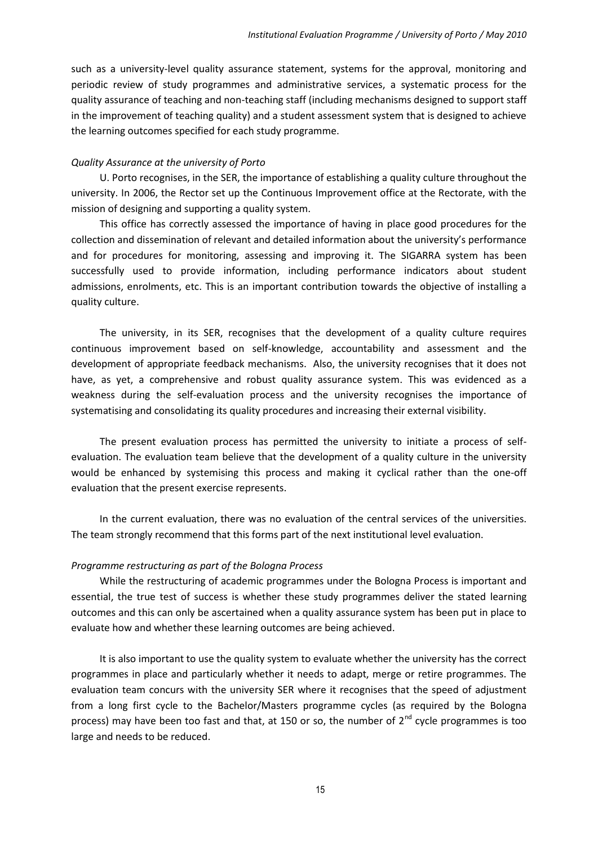such as a university-level quality assurance statement, systems for the approval, monitoring and periodic review of study programmes and administrative services, a systematic process for the quality assurance of teaching and non-teaching staff (including mechanisms designed to support staff in the improvement of teaching quality) and a student assessment system that is designed to achieve the learning outcomes specified for each study programme.

#### *Quality Assurance at the university of Porto*

U. Porto recognises, in the SER, the importance of establishing a quality culture throughout the university. In 2006, the Rector set up the Continuous Improvement office at the Rectorate, with the mission of designing and supporting a quality system.

This office has correctly assessed the importance of having in place good procedures for the collection and dissemination of relevant and detailed information about the university's performance and for procedures for monitoring, assessing and improving it. The SIGARRA system has been successfully used to provide information, including performance indicators about student admissions, enrolments, etc. This is an important contribution towards the objective of installing a quality culture.

The university, in its SER, recognises that the development of a quality culture requires continuous improvement based on self-knowledge, accountability and assessment and the development of appropriate feedback mechanisms. Also, the university recognises that it does not have, as yet, a comprehensive and robust quality assurance system. This was evidenced as a weakness during the self-evaluation process and the university recognises the importance of systematising and consolidating its quality procedures and increasing their external visibility.

The present evaluation process has permitted the university to initiate a process of selfevaluation. The evaluation team believe that the development of a quality culture in the university would be enhanced by systemising this process and making it cyclical rather than the one-off evaluation that the present exercise represents.

In the current evaluation, there was no evaluation of the central services of the universities. The team strongly recommend that this forms part of the next institutional level evaluation.

#### *Programme restructuring as part of the Bologna Process*

While the restructuring of academic programmes under the Bologna Process is important and essential, the true test of success is whether these study programmes deliver the stated learning outcomes and this can only be ascertained when a quality assurance system has been put in place to evaluate how and whether these learning outcomes are being achieved.

It is also important to use the quality system to evaluate whether the university has the correct programmes in place and particularly whether it needs to adapt, merge or retire programmes. The evaluation team concurs with the university SER where it recognises that the speed of adjustment from a long first cycle to the Bachelor/Masters programme cycles (as required by the Bologna process) may have been too fast and that, at 150 or so, the number of  $2<sup>nd</sup>$  cycle programmes is too large and needs to be reduced.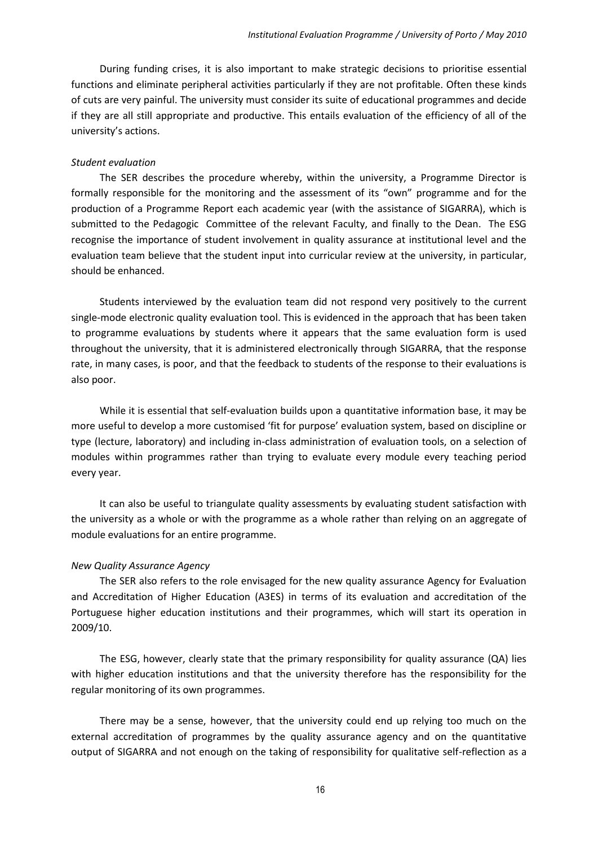During funding crises, it is also important to make strategic decisions to prioritise essential functions and eliminate peripheral activities particularly if they are not profitable. Often these kinds of cuts are very painful. The university must consider its suite of educational programmes and decide if they are all still appropriate and productive. This entails evaluation of the efficiency of all of the university's actions.

#### *Student evaluation*

The SER describes the procedure whereby, within the university, a Programme Director is formally responsible for the monitoring and the assessment of its "own" programme and for the production of a Programme Report each academic year (with the assistance of SIGARRA), which is submitted to the Pedagogic Committee of the relevant Faculty, and finally to the Dean. The ESG recognise the importance of student involvement in quality assurance at institutional level and the evaluation team believe that the student input into curricular review at the university, in particular, should be enhanced.

Students interviewed by the evaluation team did not respond very positively to the current single-mode electronic quality evaluation tool. This is evidenced in the approach that has been taken to programme evaluations by students where it appears that the same evaluation form is used throughout the university, that it is administered electronically through SIGARRA, that the response rate, in many cases, is poor, and that the feedback to students of the response to their evaluations is also poor.

While it is essential that self-evaluation builds upon a quantitative information base, it may be more useful to develop a more customised 'fit for purpose' evaluation system, based on discipline or type (lecture, laboratory) and including in-class administration of evaluation tools, on a selection of modules within programmes rather than trying to evaluate every module every teaching period every year.

It can also be useful to triangulate quality assessments by evaluating student satisfaction with the university as a whole or with the programme as a whole rather than relying on an aggregate of module evaluations for an entire programme.

#### *New Quality Assurance Agency*

The SER also refers to the role envisaged for the new quality assurance Agency for Evaluation and Accreditation of Higher Education (A3ES) in terms of its evaluation and accreditation of the Portuguese higher education institutions and their programmes, which will start its operation in 2009/10.

The ESG, however, clearly state that the primary responsibility for quality assurance (QA) lies with higher education institutions and that the university therefore has the responsibility for the regular monitoring of its own programmes.

There may be a sense, however, that the university could end up relying too much on the external accreditation of programmes by the quality assurance agency and on the quantitative output of SIGARRA and not enough on the taking of responsibility for qualitative self-reflection as a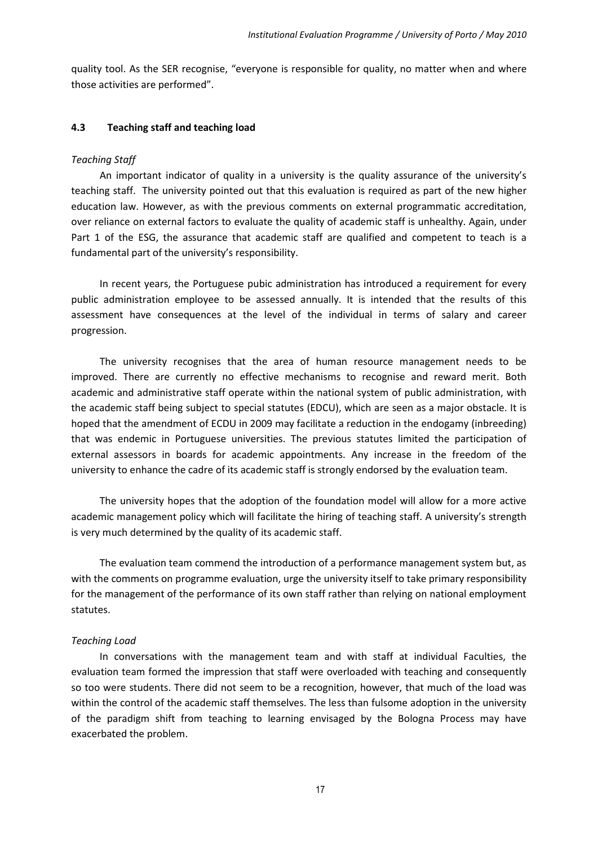quality tool. As the SER recognise, "everyone is responsible for quality, no matter when and where those activities are performed".

#### <span id="page-16-0"></span>**4.3 Teaching staff and teaching load**

#### *Teaching Staff*

An important indicator of quality in a university is the quality assurance of the university's teaching staff. The university pointed out that this evaluation is required as part of the new higher education law. However, as with the previous comments on external programmatic accreditation, over reliance on external factors to evaluate the quality of academic staff is unhealthy. Again, under Part 1 of the ESG, the assurance that academic staff are qualified and competent to teach is a fundamental part of the university's responsibility.

In recent years, the Portuguese pubic administration has introduced a requirement for every public administration employee to be assessed annually. It is intended that the results of this assessment have consequences at the level of the individual in terms of salary and career progression.

The university recognises that the area of human resource management needs to be improved. There are currently no effective mechanisms to recognise and reward merit. Both academic and administrative staff operate within the national system of public administration, with the academic staff being subject to special statutes (EDCU), which are seen as a major obstacle. It is hoped that the amendment of ECDU in 2009 may facilitate a reduction in the endogamy (inbreeding) that was endemic in Portuguese universities. The previous statutes limited the participation of external assessors in boards for academic appointments. Any increase in the freedom of the university to enhance the cadre of its academic staff is strongly endorsed by the evaluation team.

The university hopes that the adoption of the foundation model will allow for a more active academic management policy which will facilitate the hiring of teaching staff. A university's strength is very much determined by the quality of its academic staff.

The evaluation team commend the introduction of a performance management system but, as with the comments on programme evaluation, urge the university itself to take primary responsibility for the management of the performance of its own staff rather than relying on national employment statutes.

## *Teaching Load*

In conversations with the management team and with staff at individual Faculties, the evaluation team formed the impression that staff were overloaded with teaching and consequently so too were students. There did not seem to be a recognition, however, that much of the load was within the control of the academic staff themselves. The less than fulsome adoption in the university of the paradigm shift from teaching to learning envisaged by the Bologna Process may have exacerbated the problem.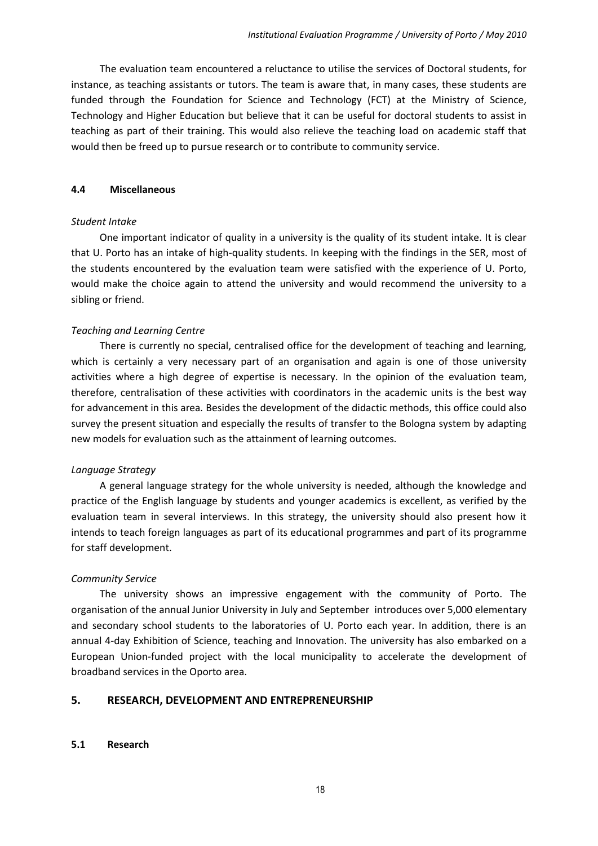The evaluation team encountered a reluctance to utilise the services of Doctoral students, for instance, as teaching assistants or tutors. The team is aware that, in many cases, these students are funded through the Foundation for Science and Technology (FCT) at the Ministry of Science, Technology and Higher Education but believe that it can be useful for doctoral students to assist in teaching as part of their training. This would also relieve the teaching load on academic staff that would then be freed up to pursue research or to contribute to community service.

#### <span id="page-17-0"></span>**4.4 Miscellaneous**

#### *Student Intake*

One important indicator of quality in a university is the quality of its student intake. It is clear that U. Porto has an intake of high-quality students. In keeping with the findings in the SER, most of the students encountered by the evaluation team were satisfied with the experience of U. Porto, would make the choice again to attend the university and would recommend the university to a sibling or friend.

## *Teaching and Learning Centre*

There is currently no special, centralised office for the development of teaching and learning, which is certainly a very necessary part of an organisation and again is one of those university activities where a high degree of expertise is necessary. In the opinion of the evaluation team, therefore, centralisation of these activities with coordinators in the academic units is the best way for advancement in this area*.* Besides the development of the didactic methods, this office could also survey the present situation and especially the results of transfer to the Bologna system by adapting new models for evaluation such as the attainment of learning outcomes*.* 

## *Language Strategy*

A general language strategy for the whole university is needed, although the knowledge and practice of the English language by students and younger academics is excellent, as verified by the evaluation team in several interviews. In this strategy, the university should also present how it intends to teach foreign languages as part of its educational programmes and part of its programme for staff development.

## *Community Service*

The university shows an impressive engagement with the community of Porto. The organisation of the annual Junior University in July and September introduces over 5,000 elementary and secondary school students to the laboratories of U. Porto each year. In addition, there is an annual 4-day Exhibition of Science, teaching and Innovation. The university has also embarked on a European Union-funded project with the local municipality to accelerate the development of broadband services in the Oporto area.

# <span id="page-17-1"></span>**5. RESEARCH, DEVELOPMENT AND ENTREPRENEURSHIP**

## <span id="page-17-2"></span>**5.1 Research**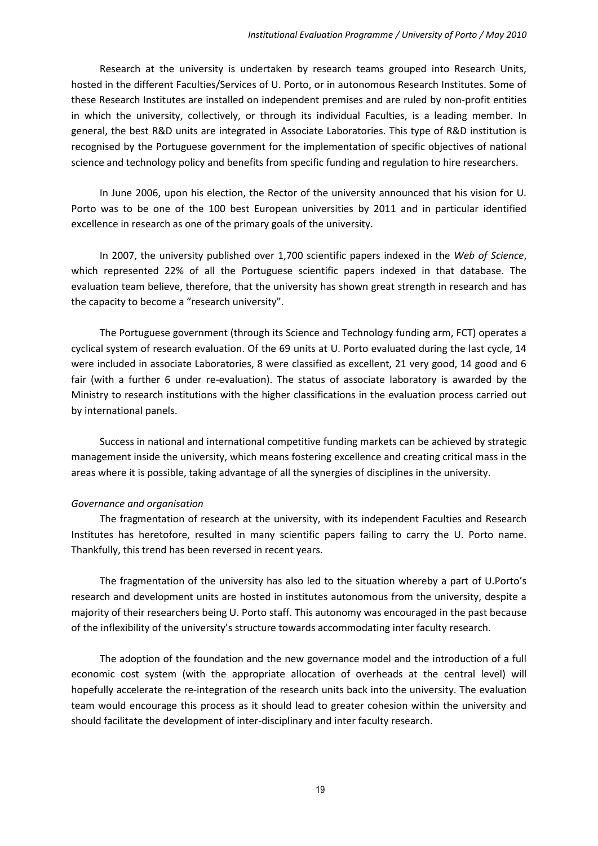Research at the university is undertaken by research teams grouped into Research Units, hosted in the different Faculties/Services of U. Porto, or in autonomous Research Institutes. Some of these Research Institutes are installed on independent premises and are ruled by non-profit entities in which the university, collectively, or through its individual Faculties, is a leading member. In general, the best R&D units are integrated in Associate Laboratories. This type of R&D institution is recognised by the Portuguese government for the implementation of specific objectives of national science and technology policy and benefits from specific funding and regulation to hire researchers.

In June 2006, upon his election, the Rector of the university announced that his vision for U. Porto was to be one of the 100 best European universities by 2011 and in particular identified excellence in research as one of the primary goals of the university.

In 2007, the university published over 1,700 scientific papers indexed in the *Web of Science*, which represented 22% of all the Portuguese scientific papers indexed in that database. The evaluation team believe, therefore, that the university has shown great strength in research and has the capacity to become a "research university".

The Portuguese government (through its Science and Technology funding arm, FCT) operates a cyclical system of research evaluation. Of the 69 units at U. Porto evaluated during the last cycle, 14 were included in associate Laboratories, 8 were classified as excellent, 21 very good, 14 good and 6 fair (with a further 6 under re-evaluation). The status of associate laboratory is awarded by the Ministry to research institutions with the higher classifications in the evaluation process carried out by international panels.

Success in national and international competitive funding markets can be achieved by strategic management inside the university, which means fostering excellence and creating critical mass in the areas where it is possible, taking advantage of all the synergies of disciplines in the university.

#### *Governance and organisation*

The fragmentation of research at the university, with its independent Faculties and Research Institutes has heretofore, resulted in many scientific papers failing to carry the U. Porto name. Thankfully, this trend has been reversed in recent years.

The fragmentation of the university has also led to the situation whereby a part of U.Porto's research and development units are hosted in institutes autonomous from the university, despite a majority of their researchers being U. Porto staff. This autonomy was encouraged in the past because of the inflexibility of the university's structure towards accommodating inter faculty research.

The adoption of the foundation and the new governance model and the introduction of a full economic cost system (with the appropriate allocation of overheads at the central level) will hopefully accelerate the re-integration of the research units back into the university. The evaluation team would encourage this process as it should lead to greater cohesion within the university and should facilitate the development of inter-disciplinary and inter faculty research.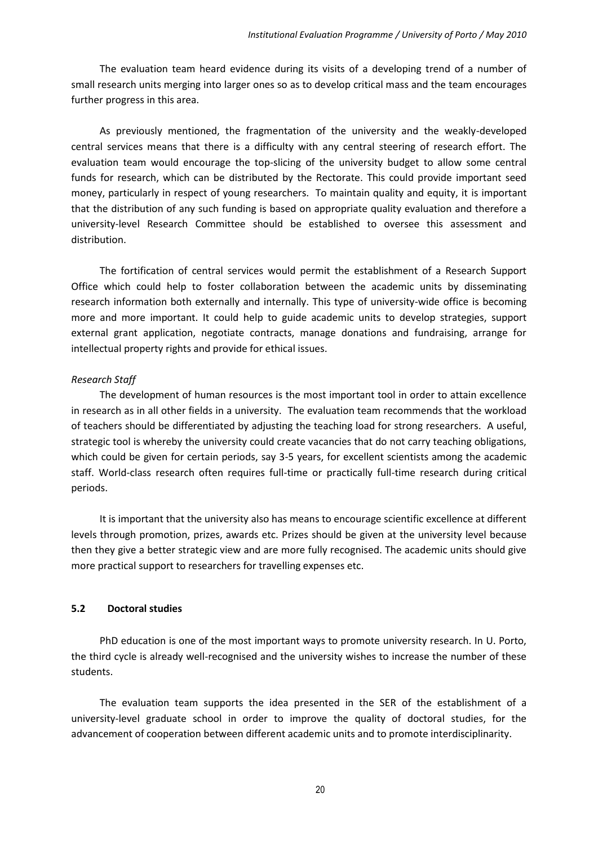The evaluation team heard evidence during its visits of a developing trend of a number of small research units merging into larger ones so as to develop critical mass and the team encourages further progress in this area.

As previously mentioned, the fragmentation of the university and the weakly-developed central services means that there is a difficulty with any central steering of research effort. The evaluation team would encourage the top-slicing of the university budget to allow some central funds for research, which can be distributed by the Rectorate. This could provide important seed money, particularly in respect of young researchers. To maintain quality and equity, it is important that the distribution of any such funding is based on appropriate quality evaluation and therefore a university-level Research Committee should be established to oversee this assessment and distribution.

The fortification of central services would permit the establishment of a Research Support Office which could help to foster collaboration between the academic units by disseminating research information both externally and internally. This type of university-wide office is becoming more and more important. It could help to guide academic units to develop strategies, support external grant application, negotiate contracts, manage donations and fundraising, arrange for intellectual property rights and provide for ethical issues.

## *Research Staff*

The development of human resources is the most important tool in order to attain excellence in research as in all other fields in a university. The evaluation team recommends that the workload of teachers should be differentiated by adjusting the teaching load for strong researchers. A useful, strategic tool is whereby the university could create vacancies that do not carry teaching obligations, which could be given for certain periods, say 3-5 years, for excellent scientists among the academic staff. World-class research often requires full-time or practically full-time research during critical periods.

It is important that the university also has means to encourage scientific excellence at different levels through promotion, prizes, awards etc. Prizes should be given at the university level because then they give a better strategic view and are more fully recognised. The academic units should give more practical support to researchers for travelling expenses etc.

#### <span id="page-19-0"></span>**5.2 Doctoral studies**

PhD education is one of the most important ways to promote university research. In U. Porto, the third cycle is already well-recognised and the university wishes to increase the number of these students.

The evaluation team supports the idea presented in the SER of the establishment of a university-level graduate school in order to improve the quality of doctoral studies, for the advancement of cooperation between different academic units and to promote interdisciplinarity.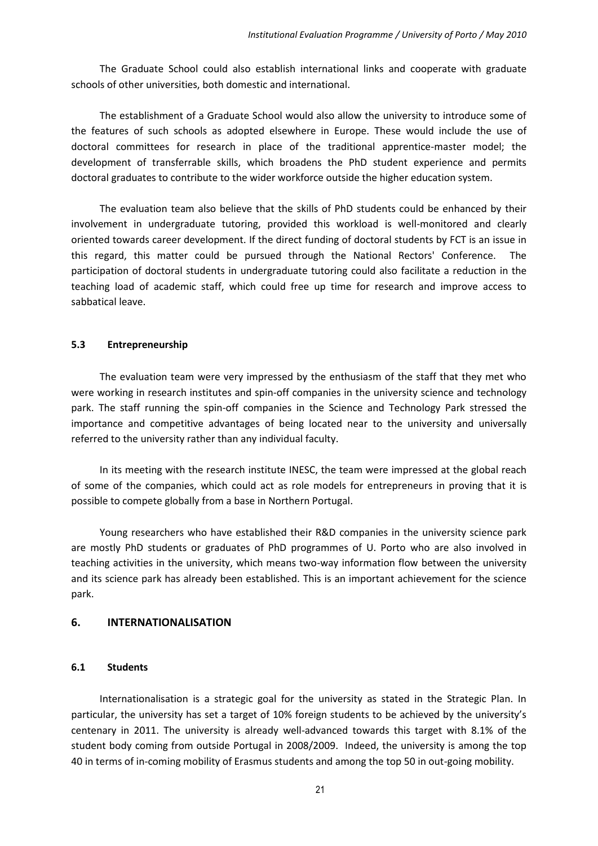The Graduate School could also establish international links and cooperate with graduate schools of other universities, both domestic and international.

The establishment of a Graduate School would also allow the university to introduce some of the features of such schools as adopted elsewhere in Europe. These would include the use of doctoral committees for research in place of the traditional apprentice-master model; the development of transferrable skills, which broadens the PhD student experience and permits doctoral graduates to contribute to the wider workforce outside the higher education system.

The evaluation team also believe that the skills of PhD students could be enhanced by their involvement in undergraduate tutoring, provided this workload is well-monitored and clearly oriented towards career development. If the direct funding of doctoral students by FCT is an issue in this regard, this matter could be pursued through the National Rectors' Conference. The participation of doctoral students in undergraduate tutoring could also facilitate a reduction in the teaching load of academic staff, which could free up time for research and improve access to sabbatical leave.

## <span id="page-20-0"></span>**5.3 Entrepreneurship**

The evaluation team were very impressed by the enthusiasm of the staff that they met who were working in research institutes and spin-off companies in the university science and technology park. The staff running the spin-off companies in the Science and Technology Park stressed the importance and competitive advantages of being located near to the university and universally referred to the university rather than any individual faculty.

In its meeting with the research institute INESC, the team were impressed at the global reach of some of the companies, which could act as role models for entrepreneurs in proving that it is possible to compete globally from a base in Northern Portugal.

Young researchers who have established their R&D companies in the university science park are mostly PhD students or graduates of PhD programmes of U. Porto who are also involved in teaching activities in the university, which means two-way information flow between the university and its science park has already been established. This is an important achievement for the science park.

## <span id="page-20-1"></span>**6. INTERNATIONALISATION**

## <span id="page-20-2"></span>**6.1 Students**

Internationalisation is a strategic goal for the university as stated in the Strategic Plan. In particular, the university has set a target of 10% foreign students to be achieved by the university's centenary in 2011. The university is already well-advanced towards this target with 8.1% of the student body coming from outside Portugal in 2008/2009. Indeed, the university is among the top 40 in terms of in-coming mobility of Erasmus students and among the top 50 in out-going mobility.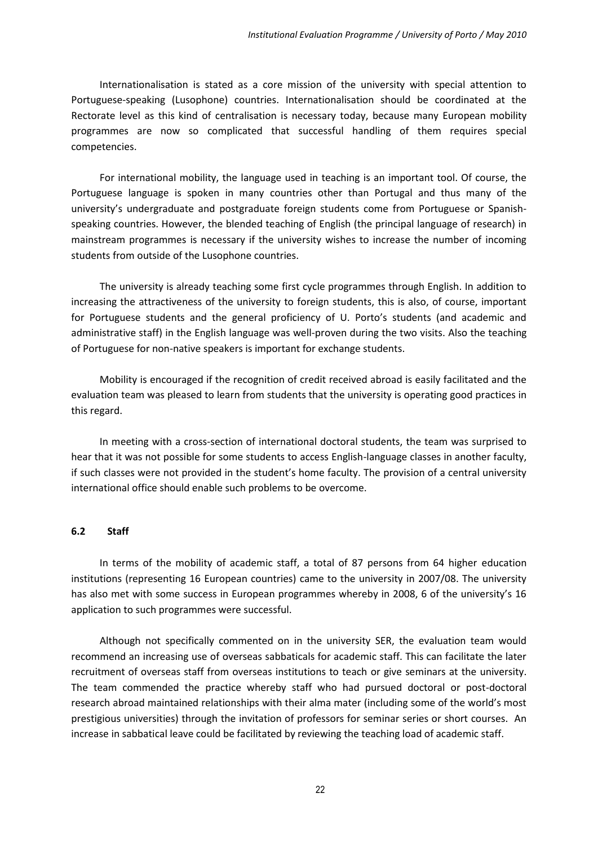Internationalisation is stated as a core mission of the university with special attention to Portuguese-speaking (Lusophone) countries. Internationalisation should be coordinated at the Rectorate level as this kind of centralisation is necessary today, because many European mobility programmes are now so complicated that successful handling of them requires special competencies.

For international mobility, the language used in teaching is an important tool. Of course, the Portuguese language is spoken in many countries other than Portugal and thus many of the university's undergraduate and postgraduate foreign students come from Portuguese or Spanishspeaking countries. However, the blended teaching of English (the principal language of research) in mainstream programmes is necessary if the university wishes to increase the number of incoming students from outside of the Lusophone countries.

The university is already teaching some first cycle programmes through English. In addition to increasing the attractiveness of the university to foreign students, this is also, of course, important for Portuguese students and the general proficiency of U. Porto's students (and academic and administrative staff) in the English language was well-proven during the two visits. Also the teaching of Portuguese for non-native speakers is important for exchange students.

Mobility is encouraged if the recognition of credit received abroad is easily facilitated and the evaluation team was pleased to learn from students that the university is operating good practices in this regard.

In meeting with a cross-section of international doctoral students, the team was surprised to hear that it was not possible for some students to access English-language classes in another faculty, if such classes were not provided in the student's home faculty. The provision of a central university international office should enable such problems to be overcome.

#### <span id="page-21-0"></span>**6.2 Staff**

In terms of the mobility of academic staff, a total of 87 persons from 64 higher education institutions (representing 16 European countries) came to the university in 2007/08. The university has also met with some success in European programmes whereby in 2008, 6 of the university's 16 application to such programmes were successful.

Although not specifically commented on in the university SER, the evaluation team would recommend an increasing use of overseas sabbaticals for academic staff. This can facilitate the later recruitment of overseas staff from overseas institutions to teach or give seminars at the university. The team commended the practice whereby staff who had pursued doctoral or post-doctoral research abroad maintained relationships with their alma mater (including some of the world's most prestigious universities) through the invitation of professors for seminar series or short courses. An increase in sabbatical leave could be facilitated by reviewing the teaching load of academic staff.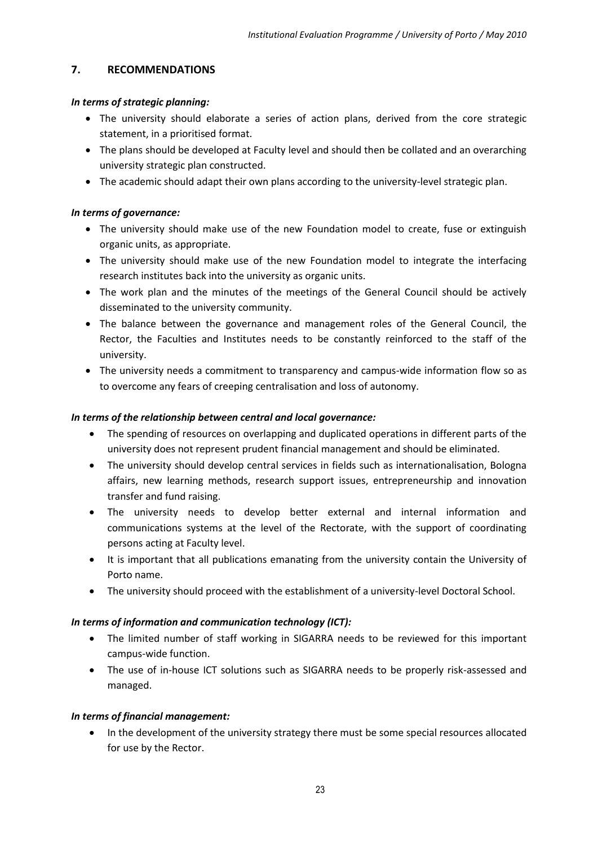# <span id="page-22-0"></span>**7. RECOMMENDATIONS**

# *In terms of strategic planning:*

- The university should elaborate a series of action plans, derived from the core strategic statement, in a prioritised format.
- The plans should be developed at Faculty level and should then be collated and an overarching university strategic plan constructed.
- The academic should adapt their own plans according to the university-level strategic plan.

# *In terms of governance:*

- The university should make use of the new Foundation model to create, fuse or extinguish organic units, as appropriate.
- The university should make use of the new Foundation model to integrate the interfacing research institutes back into the university as organic units.
- The work plan and the minutes of the meetings of the General Council should be actively disseminated to the university community.
- The balance between the governance and management roles of the General Council, the Rector, the Faculties and Institutes needs to be constantly reinforced to the staff of the university.
- The university needs a commitment to transparency and campus-wide information flow so as to overcome any fears of creeping centralisation and loss of autonomy.

# *In terms of the relationship between central and local governance:*

- The spending of resources on overlapping and duplicated operations in different parts of the university does not represent prudent financial management and should be eliminated.
- The university should develop central services in fields such as internationalisation, Bologna affairs, new learning methods, research support issues, entrepreneurship and innovation transfer and fund raising.
- The university needs to develop better external and internal information and communications systems at the level of the Rectorate, with the support of coordinating persons acting at Faculty level.
- It is important that all publications emanating from the university contain the University of Porto name.
- The university should proceed with the establishment of a university-level Doctoral School.

# *In terms of information and communication technology (ICT):*

- The limited number of staff working in SIGARRA needs to be reviewed for this important campus-wide function.
- The use of in-house ICT solutions such as SIGARRA needs to be properly risk-assessed and managed.

# *In terms of financial management:*

• In the development of the university strategy there must be some special resources allocated for use by the Rector.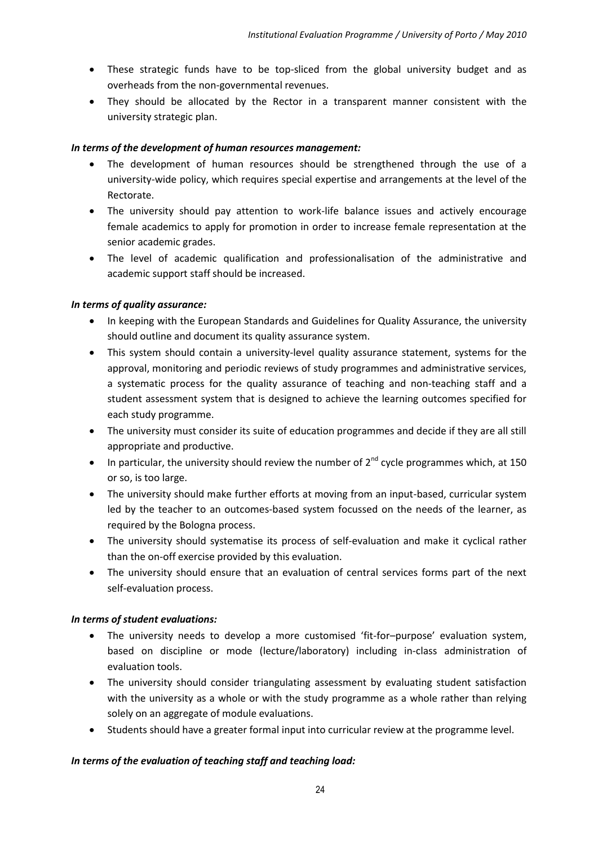- These strategic funds have to be top-sliced from the global university budget and as overheads from the non-governmental revenues.
- They should be allocated by the Rector in a transparent manner consistent with the university strategic plan.

# *In terms of the development of human resources management:*

- The development of human resources should be strengthened through the use of a university-wide policy, which requires special expertise and arrangements at the level of the Rectorate.
- The university should pay attention to work-life balance issues and actively encourage female academics to apply for promotion in order to increase female representation at the senior academic grades.
- The level of academic qualification and professionalisation of the administrative and academic support staff should be increased.

# *In terms of quality assurance:*

- In keeping with the European Standards and Guidelines for Quality Assurance, the university should outline and document its quality assurance system.
- This system should contain a university-level quality assurance statement, systems for the approval, monitoring and periodic reviews of study programmes and administrative services, a systematic process for the quality assurance of teaching and non-teaching staff and a student assessment system that is designed to achieve the learning outcomes specified for each study programme.
- The university must consider its suite of education programmes and decide if they are all still appropriate and productive.
- In particular, the university should review the number of  $2^{nd}$  cycle programmes which, at 150 or so, is too large.
- The university should make further efforts at moving from an input-based, curricular system led by the teacher to an outcomes-based system focussed on the needs of the learner, as required by the Bologna process.
- The university should systematise its process of self-evaluation and make it cyclical rather than the on-off exercise provided by this evaluation.
- The university should ensure that an evaluation of central services forms part of the next self-evaluation process.

# *In terms of student evaluations:*

- The university needs to develop a more customised 'fit-for–purpose' evaluation system, based on discipline or mode (lecture/laboratory) including in-class administration of evaluation tools.
- The university should consider triangulating assessment by evaluating student satisfaction with the university as a whole or with the study programme as a whole rather than relying solely on an aggregate of module evaluations.
- Students should have a greater formal input into curricular review at the programme level.

# *In terms of the evaluation of teaching staff and teaching load:*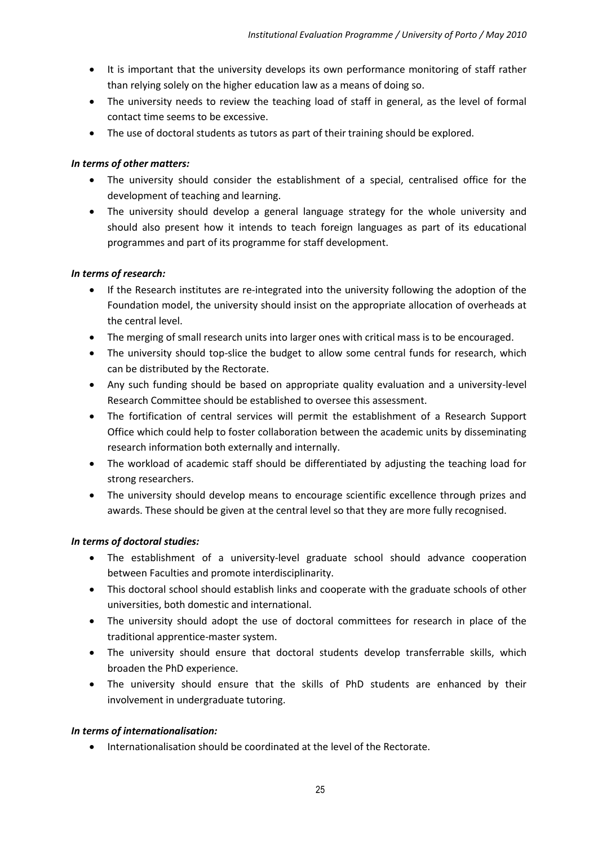- It is important that the university develops its own performance monitoring of staff rather than relying solely on the higher education law as a means of doing so.
- The university needs to review the teaching load of staff in general, as the level of formal contact time seems to be excessive.
- The use of doctoral students as tutors as part of their training should be explored.

# *In terms of other matters:*

- The university should consider the establishment of a special, centralised office for the development of teaching and learning.
- The university should develop a general language strategy for the whole university and should also present how it intends to teach foreign languages as part of its educational programmes and part of its programme for staff development.

# *In terms of research:*

- If the Research institutes are re-integrated into the university following the adoption of the Foundation model, the university should insist on the appropriate allocation of overheads at the central level.
- The merging of small research units into larger ones with critical mass is to be encouraged.
- The university should top-slice the budget to allow some central funds for research, which can be distributed by the Rectorate.
- Any such funding should be based on appropriate quality evaluation and a university-level Research Committee should be established to oversee this assessment.
- The fortification of central services will permit the establishment of a Research Support Office which could help to foster collaboration between the academic units by disseminating research information both externally and internally.
- The workload of academic staff should be differentiated by adjusting the teaching load for strong researchers.
- The university should develop means to encourage scientific excellence through prizes and awards. These should be given at the central level so that they are more fully recognised.

# *In terms of doctoral studies:*

- The establishment of a university-level graduate school should advance cooperation between Faculties and promote interdisciplinarity.
- This doctoral school should establish links and cooperate with the graduate schools of other universities, both domestic and international.
- The university should adopt the use of doctoral committees for research in place of the traditional apprentice-master system.
- The university should ensure that doctoral students develop transferrable skills, which broaden the PhD experience.
- The university should ensure that the skills of PhD students are enhanced by their involvement in undergraduate tutoring.

# *In terms of internationalisation:*

Internationalisation should be coordinated at the level of the Rectorate.